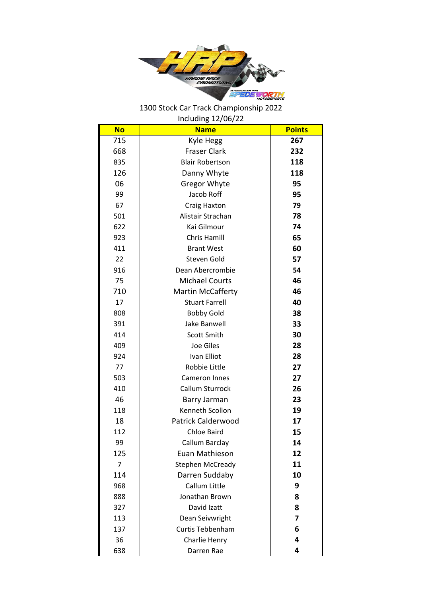

1300 Stock Car Track Championship 2022 Including 12/06/22

| <b>No</b>      | <b>Name</b>               | <b>Points</b> |
|----------------|---------------------------|---------------|
| 715            | Kyle Hegg                 | 267           |
| 668            | <b>Fraser Clark</b>       | 232           |
| 835            | <b>Blair Robertson</b>    | 118           |
| 126            | Danny Whyte               | 118           |
| 06             | <b>Gregor Whyte</b>       | 95            |
| 99             | Jacob Roff                | 95            |
| 67             | Craig Haxton              | 79            |
| 501            | Alistair Strachan         | 78            |
| 622            | Kai Gilmour               | 74            |
| 923            | Chris Hamill              | 65            |
| 411            | <b>Brant West</b>         | 60            |
| 22             | Steven Gold               | 57            |
| 916            | Dean Abercrombie          | 54            |
| 75             | <b>Michael Courts</b>     | 46            |
| 710            | <b>Martin McCafferty</b>  | 46            |
| 17             | <b>Stuart Farrell</b>     | 40            |
| 808            | <b>Bobby Gold</b>         | 38            |
| 391            | Jake Banwell              | 33            |
| 414            | Scott Smith               | 30            |
| 409            | Joe Giles                 | 28            |
| 924            | Ivan Elliot               | 28            |
| 77             | Robbie Little             | 27            |
| 503            | Cameron Innes             | 27            |
| 410            | Callum Sturrock           | 26            |
| 46             | Barry Jarman              | 23            |
| 118            | Kenneth Scollon           | 19            |
| 18             | <b>Patrick Calderwood</b> | 17            |
| 112            | <b>Chloe Baird</b>        | 15            |
| 99             | Callum Barclay            | 14            |
| 125            | Euan Mathieson            | 12            |
| $\overline{7}$ | <b>Stephen McCready</b>   | 11            |
| 114            | Darren Suddaby            | 10            |
| 968            | Callum Little             | 9             |
| 888            | Jonathan Brown            | 8             |
| 327            | David Izatt               | 8             |
| 113            | Dean Seivwright           | 7             |
| 137            | <b>Curtis Tebbenham</b>   | 6             |
| 36             | Charlie Henry             | 4             |
| 638            | Darren Rae                | 4             |